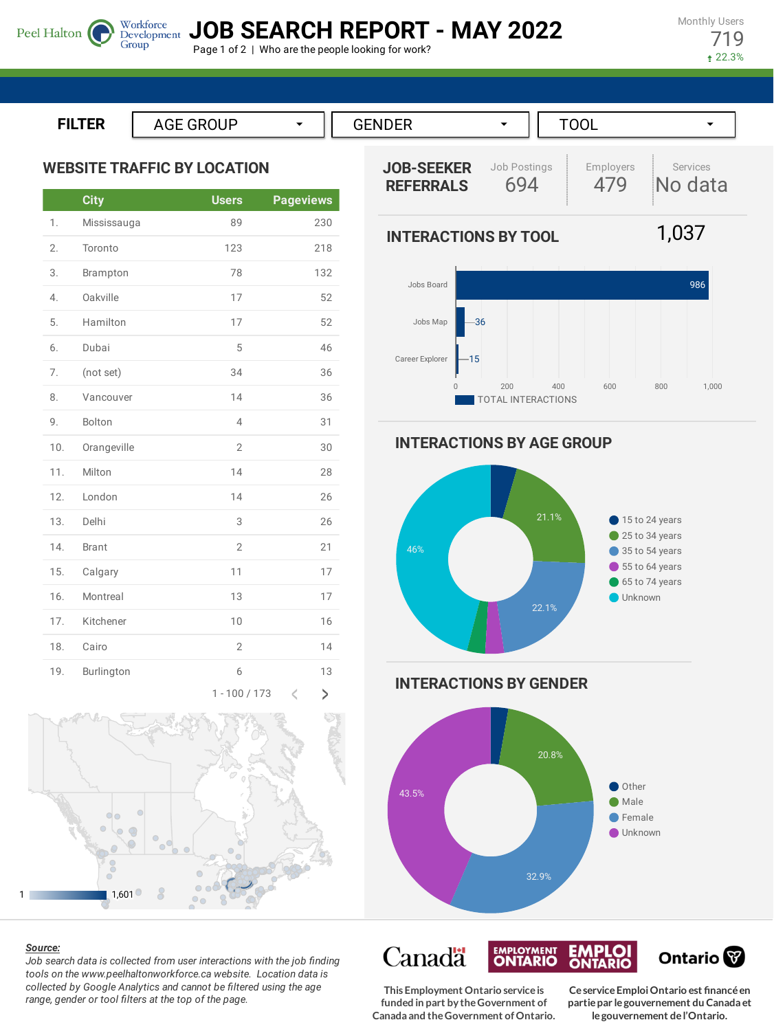**JOB SEARCH REPORT - MAY 2022**

Page 1 of 2 | Who are the people looking for work?

Monthly Users 719 22.3%

**ILTER**

Peel Halton

**WEBSITE TRAFFIC BY LOCATION**

Group

|     | <b>City</b>  | <b>Users</b>   | <b>Pageviews</b>   |
|-----|--------------|----------------|--------------------|
| 1.  | Mississauga  | 89             | 230                |
| 2.  | Toronto      | 123            | 218                |
| 3.  | Brampton     | 78             | 132                |
| 4.  | Oakville     | 17             | 52                 |
| 5.  | Hamilton     | 17             | 52                 |
| 6.  | Dubai        | 5              | 46                 |
| 7.  | (not set)    | 34             | 36                 |
| 8.  | Vancouver    | 14             | 36                 |
| 9.  | Bolton       | 4              | 31                 |
| 10. | Orangeville  | $\overline{2}$ | 30                 |
| 11. | Milton       | 14             | 28                 |
| 12. | London       | 14             | 26                 |
| 13. | Delhi        | 3              | 26                 |
| 14. | <b>Brant</b> | $\overline{2}$ | 21                 |
| 15. | Calgary      | 11             | 17                 |
| 16. | Montreal     | 13             | 17                 |
| 17. | Kitchener    | 10             | 16                 |
| 18. | Cairo        | $\overline{2}$ | 14                 |
| 19. | Burlington   | 6              | 13                 |
|     |              | 1 - 100 / 173  | $\mathcal{L}$<br>C |



## *Source:*

*Job search data is collected from user interactions with the job finding tools on the www.peelhaltonworkforce.ca website. Location data is collected by Google Analytics and cannot be filtered using the age range, gender or tool filters at the top of the page.*





**INTERACTIONS BY AGE GROUP**

**INTERACTIONS BY TOOL**



**INTERACTIONS BY GENDER**



Canadä **EMPLOI**<br>ONTARIO **EMPLOYMENT** Ontario<sup>®</sup>

**This Employment Ontario serviceis funded in part by theGovernment of Canada and theGovernment ofOntario.**

**CeserviceEmploiOntario est financéen partiepar legouvernement du Canada et legouvernement del'Ontario.**